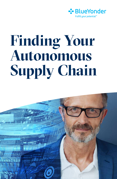

# **Finding Your Autonomous Supply Chain**

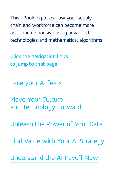This eBook explores how your supply chain and workforce can become more agile and responsive using advanced technologies and mathematical algorithms.

**Click the navigation links to jump to that page**

[Face your AI fears](#page-2-0)

Move Your Culture [and Technology Forward](#page-7-0)

[Unleash the Power of Your Data](#page-13-0)

[Find Value with Your AI Strategy](#page-18-0)

[Understand the AI Payoff Now](#page-23-0)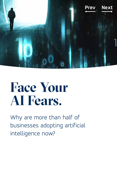<span id="page-2-0"></span>

# **Face Your AI Fears.**

Why are more than half of businesses adopting artificial intelligence now?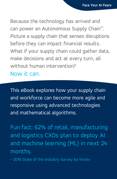Because the technology has arrived and can power an Autonomous Supply Chain™. Picture a supply chain that senses disruptions before they can impact financial results. What if your supply chain could gather data, make decisions and act at every turn, all without human intervention?

Now it can.

This eBook explores how your supply chain and workforce can become more agile and responsive using advanced technologies and mathematical algorithms.

Fun fact: 62% of retail, manufacturing and logistics CXOs plan to deploy AI and machine learning (ML) in next 24 months.

– 2019 State of the Industry Survey by Incisiv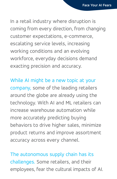In a retail industry where disruption is coming from every direction, from changing customer expectations, e-commerce, escalating service levels, increasing working conditions and an evolving workforce, everyday decisions demand exacting precision and accuracy.

While AI might be a new topic at your company, some of the leading retailers around the globe are already using the technology. With AI and ML retailers can increase warehouse automation while more accurately predicting buying behaviors to drive higher sales, minimize product returns and improve assortment accuracy across every channel.

The autonomous supply chain has its challenges. Some retailers, and their employees, fear the cultural impacts of AI.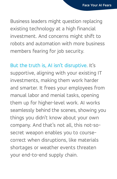Business leaders might question replacing existing technology at a high financial investment. And concerns might shift to robots and automation with more business members fearing for job security.

But the truth is, AI isn't disruptive. It's supportive, aligning with your existing IT investments, making them work harder and smarter. It frees your employees from manual labor and menial tasks, opening them up for higher-level work. AI works seamlessly behind the scenes, showing you things you didn't know about your own company. And that's not all, this not-sosecret weapon enables you to coursecorrect when disruptions, like materials shortages or weather events threaten your end-to-end supply chain.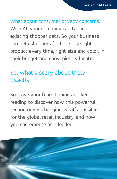### What about consumer privacy concerns? With AI, your company can tap into existing shopper data. So your business can help shoppers find the just-right product every time, right size and color, in their budget and conveniently located.

### So, what's scary about that? Exactly.

So leave your fears behind and keep reading to discover how this powerful technology is changing what's possible for the global retail industry, and how you can emerge as a leader.

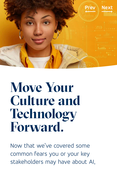<span id="page-7-0"></span>

# **Move Your Culture and Technology Forward.**

Now that we've covered some common fears you or your key stakeholders may have about AI,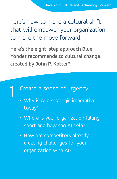here's how to make a cultural shift that will empower your organization to make the move forward.

**Here's the eight-step approach Blue Yonder recommends to cultural change, created by John P. Kotter\*:**

# Create a sense of urgency 1

- Why is AI a strategic imperative today?
- Where is your organization falling short and how can AI help?
- How are competitors already creating challenges for your organization with AI?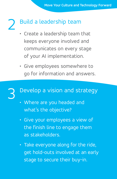# Build a leadership team 2

- Create a leadership team that keeps everyone involved and communicates on every stage of your AI implementation.
- Give employees somewhere to go for information and answers.

# Develop a vision and strategy 3

- Where are you headed and what's the objective?
- Give your employees a view of the finish line to engage them as stakeholders.
- Take everyone along for the ride, get hold-outs involved at an early stage to secure their buy-in.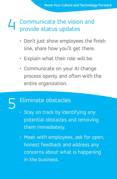#### Communicate the vision and provide status updates 4

- Don't just show employees the finish line, share how you'll get there.
- Explain what their role will be.
- Communicate on your AI change process openly and often with the entire organization.

# Eliminate obstacles 5

- Stay on track by identifying any potential obstacles and removing them immediately.
- Meet with employees, ask for open, honest feedback and address any concerns about what is happening in the business.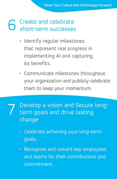#### Create and celebrate short-term successes 6

- Identify regular milestones that represent real progress in implementing AI and capturing its benefits.
- Communicate milestones throughout your organization and publicly celebrate them to keep your momentum.
- Develop a vision and Secure longterm goals and drive lasting change 7
	- Celebrate achieving your long-term goals.
	- Recognize and reward key employees and teams for their contributions and commitment.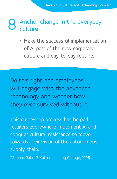#### Anchor change in the everyday culture 8

• Make the successful implementation of AI part of the new corporate culture and day-to-day routine.

Do this right and employees will engage with the advanced technology and wonder how they ever survived without it.

This eight-step process has helped retailers everywhere implement AI and conquer cultural resistance to move towards their vision of the autonomous supply chain.

\*Source: John P. Kotter, Leading Change, 1996.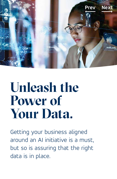<span id="page-13-0"></span>

# Unleash the **Power of Your Data.**

Getting your business aligned around an AI initiative is a must, but so is assuring that the right data is in place.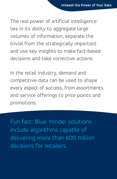The real power of artificial intelligence lies in its ability to aggregate large volumes of information, separate the trivial from the strategically important and use key insights to make fact-based decisions and take corrective actions.

In the retail industry, demand and competitive data can be used to shape every aspect of success, from assortments and service offerings to price points and promotions.

Fun fact: Blue Yonder solutions include algorithms capable of delivering more than 600 million decisions for retailers.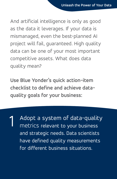And artificial intelligence is only as good as the data it leverages. If your data is mismanaged, even the best-planned AI project will fail, guaranteed. High quality data can be one of your most important competitive assets. What does data quality mean?

**Use Blue Yonder's quick action-item checklist to define and achieve dataquality goals for your business:**

Adopt a system of data-quality metrics relevant to your business and strategic needs. Data scientists have defined quality measurements for different business situations. 1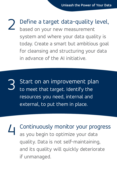Define a target data-quality level, based on your new measurement system and where your data quality is today. Create a smart but ambitious goal for cleansing and structuring your data in advance of the AI initiative. 2

Start on an improvement plan to meet that target. Identify the resources you need, internal and external, to put them in place. 3

Continuously monitor your progress as you begin to optimize your data quality. Data is not self-maintaining, and its quality will quickly deteriorate if unmanaged. 4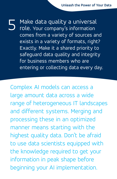Make data quality a universal role. Your company's information comes from a variety of sources and exists in a variety of formats, right? Exactly. Make it a shared priority to safeguard data quality and integrity for business members who are entering or collecting data every day. 5

Complex AI models can access a large amount data across a wide range of heterogeneous IT landscapes and different systems. Merging and processing these in an optimized manner means starting with the highest quality data. Don't be afraid to use data scientists equipped with the knowledge required to get your information in peak shape before beginning your AI implementation.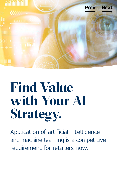<span id="page-18-0"></span>

# **Find Value with Your AI Strategy.**

Application of artificial intelligence and machine learning is a competitive requirement for retailers now.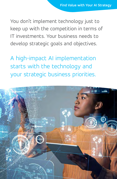You don't implement technology just to keep up with the competition in terms of IT investments. Your business needs to develop strategic goals and objectives.

A high-impact AI implementation starts with the technology and your strategic business priorities.

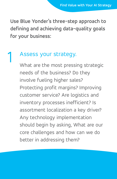**Use Blue Yonder's three-step approach to defining and achieving data-quality goals for your business:**

# Assess your strategy. 1

What are the most pressing strategic needs of the business? Do they involve fueling higher sales? Protecting profit margins? Improving customer service? Are logistics and inventory processes inefficient? Is assortment localization a key driver? Any technology implementation should begin by asking, What are our core challenges and how can we do better in addressing them?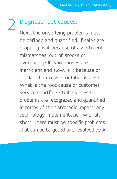# Diagnose root causes. 2

Next, the underlying problems must be defined and quantified. If sales are dropping, is it because of assortment mismatches, out-of-stocks or overpricing? If warehouses are inefficient and slow, is it because of outdated processes or labor issues? What is the root cause of customer service shortfalls? Unless these problems are recognized and quantified in terms of their strategic impact, any technology implementation will fall short. There must be specific problems that can be targeted and resolved by AI.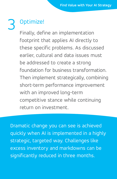# Optimize! 3

Finally, define an implementation footprint that applies AI directly to these specific problems. As discussed earlier, cultural and data issues must be addressed to create a strong foundation for business transformation. Then implement strategically, combining short-term performance improvement with an improved long-term competitive stance while continuing return on investment.

Dramatic change you can see is achieved quickly when AI is implemented in a highly strategic, targeted way. Challenges like excess inventory and markdowns can be significantly reduced in three months.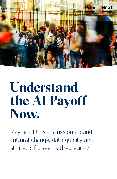<span id="page-23-0"></span>

# **Understand the AI Payoff Now.**

Maybe all this discussion around cultural change, data quality and strategic fit seems theoretical?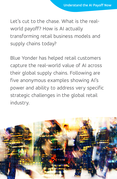Let's cut to the chase. What is the realworld payoff? How is AI actually transforming retail business models and supply chains today?

Blue Yonder has helped retail customers capture the real-world value of AI across their global supply chains. Following are five anonymous examples showing AI's power and ability to address very specific strategic challenges in the global retail industry.

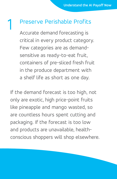# Preserve Perishable Profits 1

Accurate demand forecasting is critical in every product category. Few categories are as demandsensitive as ready-to-eat fruit, containers of pre-sliced fresh fruit in the produce department with a shelf life as short as one day.

If the demand forecast is too high, not only are exotic, high price-point fruits like pineapple and mango wasted, so are countless hours spent cutting and packaging. If the forecast is too low and products are unavailable, healthconscious shoppers will shop elsewhere.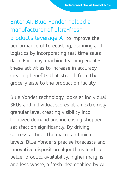### Enter AI. Blue Yonder helped a manufacturer of ultra-fresh

products leverage AI to improve the performance of forecasting, planning and logistics by incorporating real-time sales data. Each day, machine learning enables these activities to increase in accuracy, creating benefits that stretch from the grocery aisle to the production facility.

Blue Yonder technology looks at individual SKUs and individual stores at an extremely granular level creating visibility into localized demand and increasing shopper satisfaction significantly. By driving success at both the macro and micro levels, Blue Yonder's precise forecasts and innovative disposition algorithms lead to better product availability, higher margins and less waste, a fresh idea enabled by AI.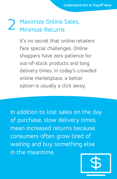#### Maximize Online Sales, Minimize Returns 2

It's no secret that online retailers face special challenges. Online shoppers have zero patience for out-of-stock products and long delivery times. In today's crowded online marketplace, a better option is usually a click away.

In addition to lost sales on the day of purchase, slow delivery times mean increased returns because consumers often grow tired of waiting and buy something else in the meantime.

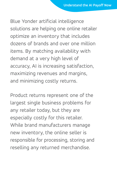Blue Yonder artificial intelligence solutions are helping one online retailer optimize an inventory that includes dozens of brands and over one million items. By matching availability with demand at a very high level of accuracy, AI is increasing satisfaction, maximizing revenues and margins, and minimizing costly returns.

Product returns represent one of the largest single business problems for any retailer today, but they are especially costly for this retailer. While brand manufacturers manage new inventory, the online seller is responsible for processing, storing and reselling any returned merchandise.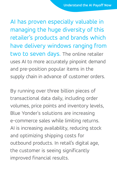AI has proven especially valuable in managing the huge diversity of this retailer's products and brands which have delivery windows ranging from two to seven days. The online retailer uses AI to more accurately pinpoint demand and pre-position popular items in the supply chain in advance of customer orders.

By running over three billion pieces of transactional data daily, including order volumes, price points and inventory levels, Blue Yonder's solutions are increasing e-commerce sales while limiting returns. AI is increasing availability, reducing stock and optimizing shipping costs for outbound products. In retail's digital age, the customer is seeing significantly improved financial results.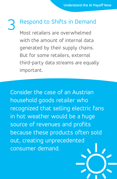# Respond to Shifts in Demand 3

Most retailers are overwhelmed with the amount of internal data generated by their supply chains. But for some retailers, external third-party data streams are equally important.

Consider the case of an Austrian household goods retailer who recognized that selling electric fans in hot weather would be a huge source of revenues and profits because these products often sold out, creating unprecedented consumer demand.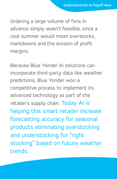Ordering a large volume of fans in advance simply wasn't feasible, since a cool summer would mean overstocks, markdowns and the erosion of profit margins.

Because Blue Yonder AI solutions can incorporate third-party data like weather predictions, Blue Yonder won a competitive process to implement its advanced technology as part of the retailer's supply chain. Today AI is helping this smart retailer increase forecasting accuracy for seasonal products eliminating overstocking and understocking for "right stocking" based on future weather trends.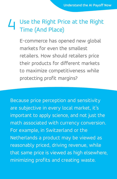#### Use the Right Price at the Right Time (And Place) 4

E-commerce has opened new global markets for even the smallest retailers. How should retailers price their products for different markets to maximize competitiveness while protecting profit margins?

Because price perception and sensitivity are subjective in every local market, it's important to apply science, and not just the math associated with currency conversion. For example, in Switzerland or the Netherlands a product may be viewed as reasonably priced, driving revenue, while that same price is viewed as high elsewhere, minimizing profits and creating waste.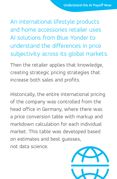An international lifestyle products and home accessories retailer uses AI solutions from Blue Yonder to understand the differences in price subjectivity across its global markets.

Then the retailer applies that knowledge, creating strategic pricing strategies that increase both sales and profits.

Historically, the entire international pricing of the company was controlled from the head office in Germany, where there was a price conversion table with markup and markdown calculation for each individual market. This table was developed based on estimates and best guesses, not data science.

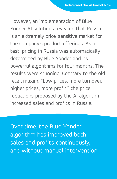However, an implementation of Blue Yonder AI solutions revealed that Russia is an extremely price-sensitive market for the company's product offerings. As a test, pricing in Russia was automatically determined by Blue Yonder and its powerful algorithms for four months. The results were stunning. Contrary to the old retail maxim, "Low prices, more turnover, higher prices, more profit," the price reductions proposed by the AI algorithm increased sales and profits in Russia.

Over time, the Blue Yonder algorithm has improved both sales and profits continuously, and without manual intervention.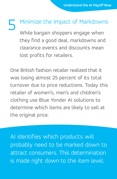Minimize the Impact of Markdowns While bargain shoppers engage when they find a good deal, markdowns and clearance events and discounts mean lost profits for retailers.  $\blacksquare$ 

One British fashion retailer realized that it was losing almost 25 percent of its total turnover due to price reductions. Today this retailer of women's, men's and children's clothing use Blue Yonder AI solutions to determine which items are likely to sell at the original price.

AI identifies which products will probably need to be marked down to attract consumers. This determination is made right down to the item level.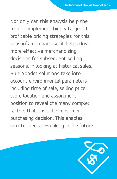Not only can this analysis help the retailer implement highly targeted, profitable pricing strategies for this season's merchandise, it helps drive more effective merchandising decisions for subsequent selling seasons. In looking at historical sales, Blue Yonder solutions take into account environmental parameters including time of sale, selling price, store location and assortment position to reveal the many complex factors that drive the consumer purchasing decision. This enables smarter decision-making in the future.

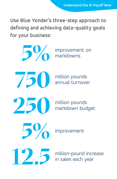**Use Blue Yonder's three-step approach to defining and achieving data-quality goals for your business:**